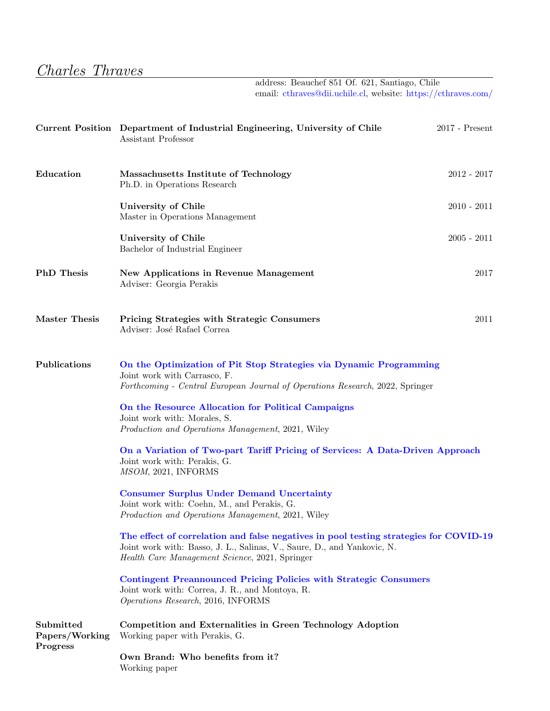## Charles Thraves

address: Beauchef 851 Of. 621, Santiago, Chile email: [cthraves@dii.uchile.cl,](mailto: cthraves@dii.uchile.cl) website: <https://cthraves.com/>

|                                         | Current Position Department of Industrial Engineering, University of Chile<br>Assistant Professor                                                                                                                  | $2017$ - Present |  |
|-----------------------------------------|--------------------------------------------------------------------------------------------------------------------------------------------------------------------------------------------------------------------|------------------|--|
| Education                               | Massachusetts Institute of Technology<br>Ph.D. in Operations Research                                                                                                                                              | $2012 - 2017$    |  |
|                                         | University of Chile<br>Master in Operations Management                                                                                                                                                             | $2010 - 2011$    |  |
|                                         | University of Chile<br>Bachelor of Industrial Engineer                                                                                                                                                             | $2005 - 2011$    |  |
| <b>PhD</b> Thesis                       | <b>New Applications in Revenue Management</b><br>Adviser: Georgia Perakis                                                                                                                                          | 2017             |  |
| <b>Master Thesis</b>                    | <b>Pricing Strategies with Strategic Consumers</b><br>Adviser: José Rafael Correa                                                                                                                                  | 2011             |  |
| Publications                            | On the Optimization of Pit Stop Strategies via Dynamic Programming<br>Joint work with Carrasco, F.<br>Forthcoming - Central European Journal of Operations Research, 2022, Springer                                |                  |  |
|                                         | On the Resource Allocation for Political Campaigns<br>Joint work with: Morales, S.<br>Production and Operations Management, 2021, Wiley                                                                            |                  |  |
|                                         | On a Variation of Two-part Tariff Pricing of Services: A Data-Driven Approach<br>Joint work with: Perakis, G.<br>MSOM, 2021, INFORMS                                                                               |                  |  |
|                                         | <b>Consumer Surplus Under Demand Uncertainty</b><br>Joint work with: Coehn, M., and Perakis, G.<br>Production and Operations Management, 2021, Wiley                                                               |                  |  |
|                                         | The effect of correlation and false negatives in pool testing strategies for COVID-19<br>Joint work with: Basso, J. L., Salinas, V., Saure, D., and Yankovic, N.<br>Health Care Management Science, 2021, Springer |                  |  |
|                                         | <b>Contingent Preannounced Pricing Policies with Strategic Consumers</b><br>Joint work with: Correa, J. R., and Montoya, R.<br>Operations Research, 2016, INFORMS                                                  |                  |  |
| Submitted<br>Papers/Working<br>Progress | Competition and Externalities in Green Technology Adoption<br>Working paper with Perakis, G.                                                                                                                       |                  |  |
|                                         | Own Brand: Who benefits from it?<br>Working paper                                                                                                                                                                  |                  |  |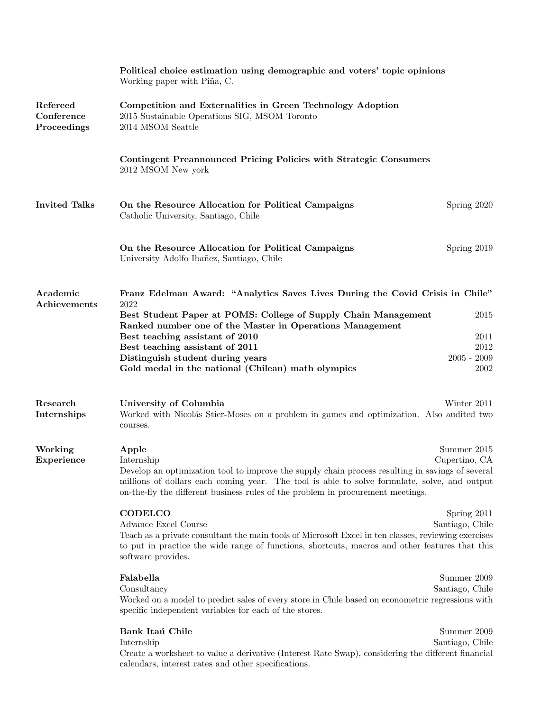|                                       | Political choice estimation using demographic and voters' topic opinions<br>Working paper with Piña, C.                                                                                                                                                                             |                 |  |
|---------------------------------------|-------------------------------------------------------------------------------------------------------------------------------------------------------------------------------------------------------------------------------------------------------------------------------------|-----------------|--|
| Refereed<br>Conference<br>Proceedings | Competition and Externalities in Green Technology Adoption<br>2015 Sustainable Operations SIG, MSOM Toronto<br>2014 MSOM Seattle                                                                                                                                                    |                 |  |
|                                       | Contingent Preannounced Pricing Policies with Strategic Consumers<br>2012 MSOM New york                                                                                                                                                                                             |                 |  |
| <b>Invited Talks</b>                  | On the Resource Allocation for Political Campaigns<br>Catholic University, Santiago, Chile                                                                                                                                                                                          | Spring 2020     |  |
|                                       | On the Resource Allocation for Political Campaigns<br>University Adolfo Ibañez, Santiago, Chile                                                                                                                                                                                     | Spring 2019     |  |
| Academic<br>Achievements              | Franz Edelman Award: "Analytics Saves Lives During the Covid Crisis in Chile"<br>2022                                                                                                                                                                                               |                 |  |
|                                       | Best Student Paper at POMS: College of Supply Chain Management<br>Ranked number one of the Master in Operations Management                                                                                                                                                          | 2015            |  |
|                                       | Best teaching assistant of 2010<br>Best teaching assistant of 2011                                                                                                                                                                                                                  | 2011<br>2012    |  |
|                                       | Distinguish student during years                                                                                                                                                                                                                                                    | $2005 - 2009$   |  |
|                                       | Gold medal in the national (Chilean) math olympics                                                                                                                                                                                                                                  | 2002            |  |
| Research<br>Internships               | University of Columbia<br>Worked with Nicolás Stier-Moses on a problem in games and optimization. Also audited two<br>courses.                                                                                                                                                      | Winter 2011     |  |
| Working                               | Apple                                                                                                                                                                                                                                                                               | Summer 2015     |  |
| Experience                            | Internship                                                                                                                                                                                                                                                                          | Cupertino, CA   |  |
|                                       | Develop an optimization tool to improve the supply chain process resulting in savings of several<br>millions of dollars each coming year. The tool is able to solve formulate, solve, and output<br>on-the-fly the different business rules of the problem in procurement meetings. |                 |  |
|                                       | <b>CODELCO</b>                                                                                                                                                                                                                                                                      | Spring 2011     |  |
|                                       | Advance Excel Course                                                                                                                                                                                                                                                                | Santiago, Chile |  |
|                                       | Teach as a private consultant the main tools of Microsoft Excel in ten classes, reviewing exercises<br>to put in practice the wide range of functions, shortcuts, macros and other features that this<br>software provides.                                                         |                 |  |
|                                       | Falabella                                                                                                                                                                                                                                                                           | Summer 2009     |  |
|                                       | Consultancy<br>Worked on a model to predict sales of every store in Chile based on econometric regressions with<br>specific independent variables for each of the stores.                                                                                                           | Santiago, Chile |  |
|                                       | Bank Itaú Chile                                                                                                                                                                                                                                                                     | Summer 2009     |  |
|                                       | Internship<br>Create a worksheet to value a derivative (Interest Rate Swap), considering the different financial<br>calendars, interest rates and other specifications.                                                                                                             | Santiago, Chile |  |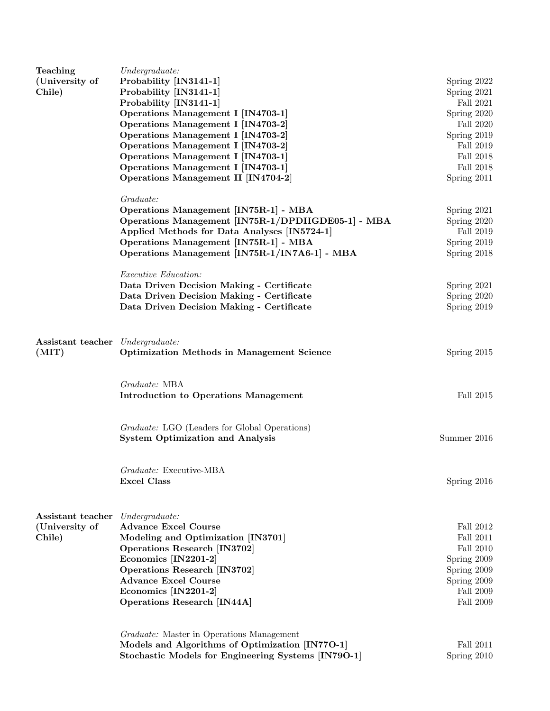| Teaching                                  | Under graduate:                                     |                  |
|-------------------------------------------|-----------------------------------------------------|------------------|
| (University of                            | Probability [IN3141-1]                              | Spring 2022      |
| Chile)                                    | Probability [IN3141-1]                              | Spring 2021      |
|                                           | Probability [IN3141-1]                              | Fall $2021$      |
|                                           | Operations Management I [IN4703-1]                  | Spring 2020      |
|                                           | Operations Management I [IN4703-2]                  | Fall 2020        |
|                                           | Operations Management I [IN4703-2]                  | Spring 2019      |
|                                           | Operations Management I [IN4703-2]                  | Fall 2019        |
|                                           | Operations Management I [IN4703-1]                  | Fall 2018        |
|                                           | Operations Management I [IN4703-1]                  | Fall $2018\,$    |
|                                           | Operations Management II [IN4704-2]                 | Spring 2011      |
|                                           | Graduate:                                           |                  |
|                                           | Operations Management [IN75R-1] - MBA               | Spring 2021      |
|                                           | Operations Management [IN75R-1/DPDIIGDE05-1] - MBA  | Spring 2020      |
|                                           | Applied Methods for Data Analyses [IN5724-1]        | Fall 2019        |
|                                           | Operations Management [IN75R-1] - MBA               | Spring 2019      |
|                                           | Operations Management [IN75R-1/IN7A6-1] - MBA       | Spring 2018      |
|                                           | Executive Education:                                |                  |
|                                           | Data Driven Decision Making - Certificate           | Spring 2021      |
|                                           | Data Driven Decision Making - Certificate           | Spring 2020      |
|                                           | Data Driven Decision Making - Certificate           | Spring 2019      |
|                                           |                                                     |                  |
| Assistant teacher Undergraduate:<br>(MIT) | <b>Optimization Methods in Management Science</b>   | Spring 2015      |
|                                           |                                                     |                  |
|                                           | Graduate: MBA                                       |                  |
|                                           | <b>Introduction to Operations Management</b>        | Fall 2015        |
|                                           | Graduate: LGO (Leaders for Global Operations)       |                  |
|                                           | <b>System Optimization and Analysis</b>             | Summer 2016      |
|                                           |                                                     |                  |
|                                           | Graduate: Executive-MBA                             |                  |
|                                           | <b>Excel Class</b>                                  | Spring 2016      |
|                                           |                                                     |                  |
| Assistant teacher<br>(University of       | Under graduate:<br><b>Advance Excel Course</b>      | Fall 2012        |
| Chile)                                    | Modeling and Optimization [IN3701]                  | Fall 2011        |
|                                           | <b>Operations Research [IN3702]</b>                 | <b>Fall 2010</b> |
|                                           | Economics [IN2201-2]                                | Spring 2009      |
|                                           | Operations Research [IN3702]                        | Spring 2009      |
|                                           | <b>Advance Excel Course</b>                         | Spring 2009      |
|                                           | Economics [IN2201-2]                                | Fall 2009        |
|                                           | <b>Operations Research [IN44A]</b>                  | Fall 2009        |
|                                           |                                                     |                  |
|                                           | Graduate: Master in Operations Management           |                  |
|                                           | Models and Algorithms of Optimization [IN770-1]     | Fall 2011        |
|                                           | Stochastic Models for Engineering Systems [IN79O-1] | Spring 2010      |